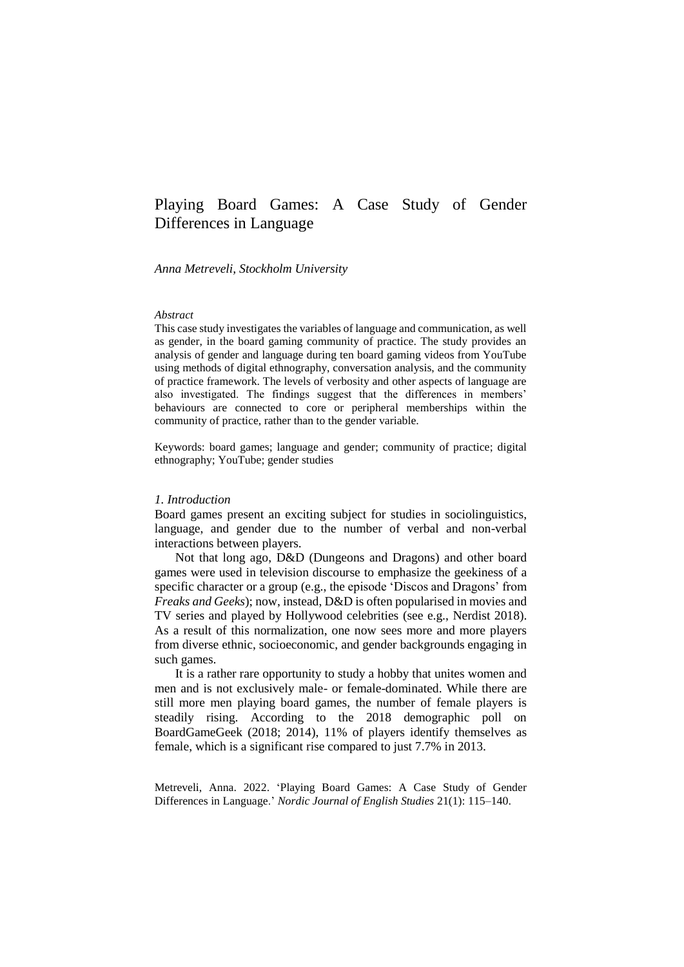# Playing Board Games: A Case Study of Gender Differences in Language

*Anna Metreveli, Stockholm University*

#### *Abstract*

This case study investigates the variables of language and communication, as well as gender, in the board gaming community of practice. The study provides an analysis of gender and language during ten board gaming videos from YouTube using methods of digital ethnography, conversation analysis, and the community of practice framework. The levels of verbosity and other aspects of language are also investigated. The findings suggest that the differences in members' behaviours are connected to core or peripheral memberships within the community of practice, rather than to the gender variable.

Keywords: board games; language and gender; community of practice; digital ethnography; YouTube; gender studies

#### *1. Introduction*

Board games present an exciting subject for studies in sociolinguistics, language, and gender due to the number of verbal and non-verbal interactions between players.

Not that long ago, D&D (Dungeons and Dragons) and other board games were used in television discourse to emphasize the geekiness of a specific character or a group (e.g., the episode 'Discos and Dragons' from *Freaks and Geeks*); now, instead, D&D is often popularised in movies and TV series and played by Hollywood celebrities (see e.g., Nerdist 2018). As a result of this normalization, one now sees more and more players from diverse ethnic, socioeconomic, and gender backgrounds engaging in such games.

It is a rather rare opportunity to study a hobby that unites women and men and is not exclusively male- or female-dominated. While there are still more men playing board games, the number of female players is steadily rising. According to the 2018 demographic poll on BoardGameGeek (2018; 2014), 11% of players identify themselves as female, which is a significant rise compared to just 7.7% in 2013.

Metreveli, Anna. 2022. 'Playing Board Games: A Case Study of Gender Differences in Language.' *Nordic Journal of English Studies* 21(1): 115–140.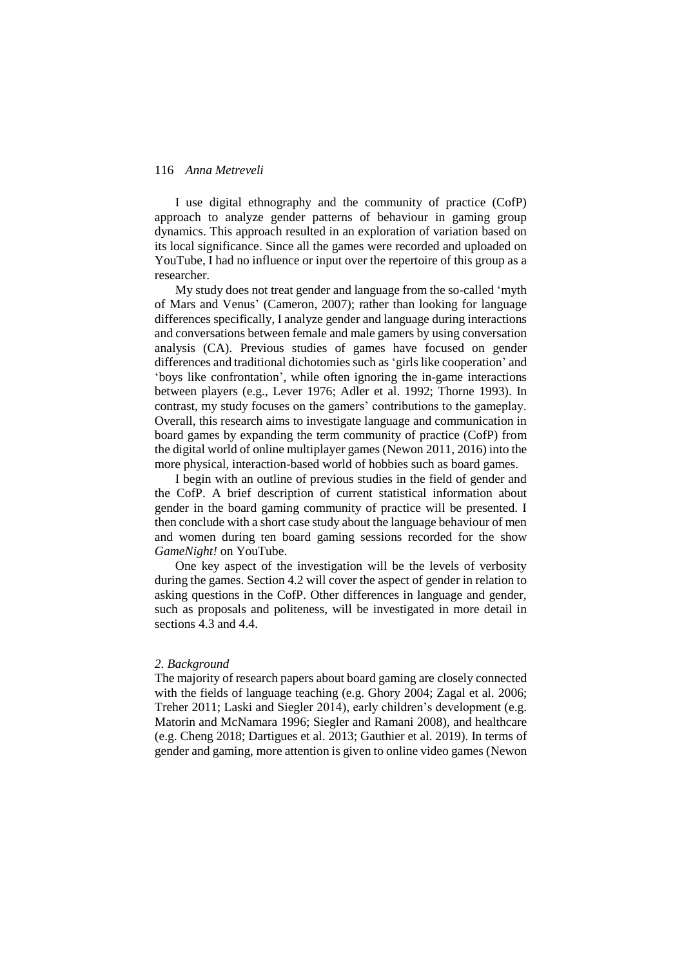I use digital ethnography and the community of practice (CofP) approach to analyze gender patterns of behaviour in gaming group dynamics. This approach resulted in an exploration of variation based on its local significance. Since all the games were recorded and uploaded on YouTube, I had no influence or input over the repertoire of this group as a researcher.

My study does not treat gender and language from the so-called 'myth of Mars and Venus' [\(Cameron, 2007\); r](#page-19-0)ather than looking for language differences specifically, I analyze gender and language during interactions and conversations between female and male gamers by using conversation analysis (CA). Previous studies of games have focused on gender differences and traditional dichotomies such as 'girls like cooperation' and 'boys like confrontation', while often ignoring the in-game interactions between players (e.g., Lever 1976; [Adler et al.](#page-19-0) 1992; [Thorne](#page-19-0) 1993). In contrast, my study focuses on the gamers' contributions to the gameplay. Overall, this research aims to investigate language and communication in board games by expanding the term community of practice (CofP) from the digital world of online multiplayer games (Newon 2011, 2016) into the more physical, interaction-based world of hobbies such as board games.

I begin with an outline of previous studies in the field of gender and the CofP. A brief description of current statistical information about gender in the board gaming community of practice will be presented. I then conclude with a short case study about the language behaviour of men and women during ten board gaming sessions recorded for the show *GameNight!* on YouTube.

One key aspect of the investigation will be the levels of verbosity during the games. Section 4.2 will cover the aspect of gender in relation to asking questions in the CofP. Other differences in language and gender, such as proposals and politeness, will be investigated in more detail in sections 4.3 and 4.4.

### *2. Background*

The majority of research papers about board gaming are closely connected with the fields of language teaching (e.g. Ghory 2004; Zagal et al. 2006; Treher 2011; Laski and Siegler 2014), early children's development (e.g. Matorin and McNamara 1996; Siegler and Ramani 2008), and healthcare (e.g. Cheng 2018; Dartigues et al. 2013; Gauthier et al. 2019). In terms of gender and gaming, more attention is given to online video games (Newon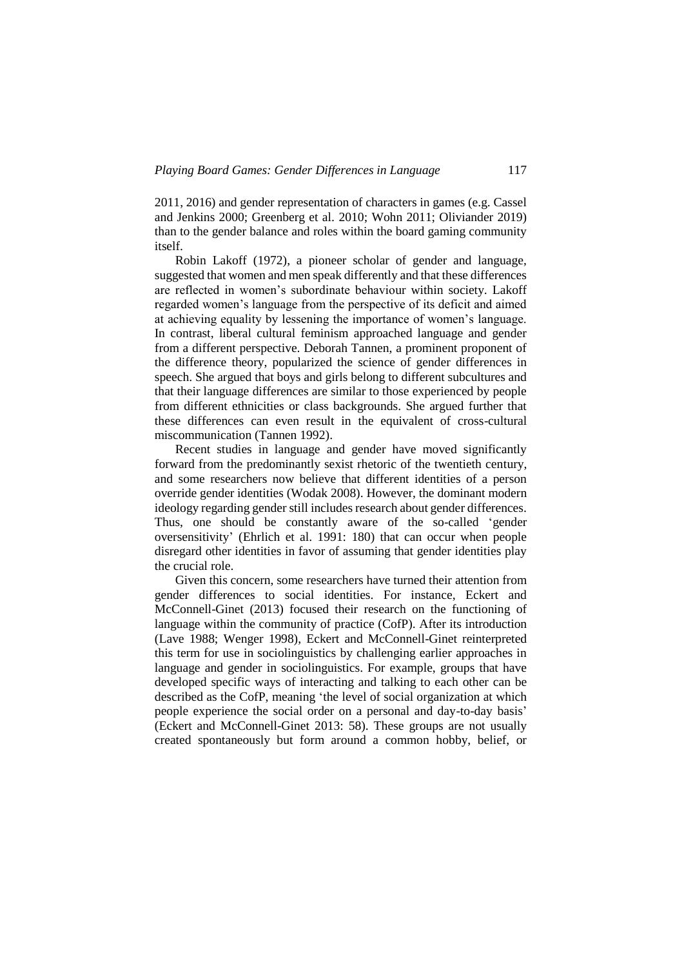2011, 2016) and gender representation of characters in games (e.g. Cassel and Jenkins 2000; Greenberg et al. 2010; Wohn 2011; Oliviander 2019) than to the gender balance and roles within the board gaming community itself.

Robin Lakoff (1972), a pioneer scholar of gender and language, suggested that women and men speak differently and that these differences are reflected in women's subordinate behaviour within society. Lakoff regarded women's language from the perspective of its deficit and aimed at achieving equality by lessening the importance of women's language. In contrast, liberal cultural feminism approached language and gender from a different perspective. Deborah Tannen, a prominent proponent of the difference theory, popularized the science of gender differences in speech. She argued that boys and girls belong to different subcultures and that their language differences are similar to those experienced by people from different ethnicities or class backgrounds. She argued further that these differences can even result in the equivalent of cross-cultural miscommunication (Tannen 1992).

Recent studies in language and gender have moved significantly forward from the predominantly sexist rhetoric of the twentieth century, and some researchers now believe that different identities of a person override gender identities (Wodak 2008). However, the dominant modern ideology regarding gender still includes research about gender differences. Thus, one should be constantly aware of the so-called 'gender oversensitivity' (Ehrlich et al. 1991: 180) that can occur when people disregard other identities in favor of assuming that gender identities play the crucial role.

Given this concern, some researchers have turned their attention from gender differences to social identities. For instance, Eckert and McConnell-Ginet (2013) focused their research on the functioning of language within the community of practice (CofP). After its introduction (Lave 1988; Wenger 1998), Eckert and McConnell-Ginet reinterpreted this term for use in sociolinguistics by challenging earlier approaches in language and gender in sociolinguistics. For example, groups that have developed specific ways of interacting and talking to each other can be described as the CofP, meaning 'the level of social organization at which people experience the social order on a personal and day-to-day basis' [\(Eckert and McConnell-Ginet](#page-19-0) [2013:](#page-19-0) 58). These groups are not usually created spontaneously but form around a common hobby, belief, or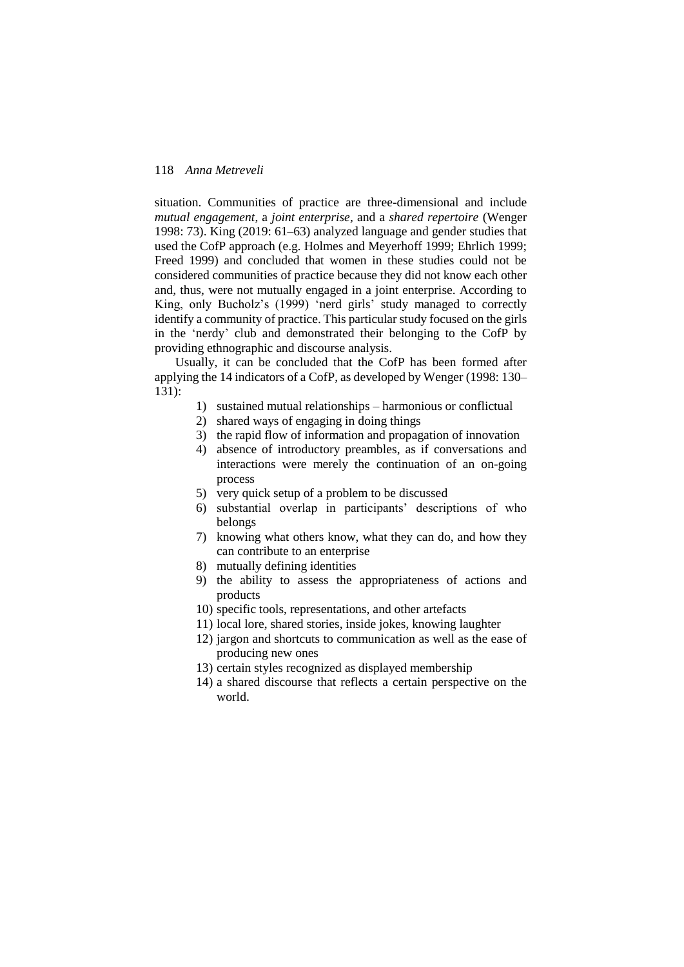situation. Communities of practice are three-dimensional and include *mutual engagement*, a *joint enterprise,* and a *shared repertoire* (Wenger 1998: 73). King (2019: 61‒63) analyzed language and gender studies that used the CofP approach (e.g. Holmes and Meyerhoff 1999; Ehrlich 1999; Freed 1999) and concluded that women in these studies could not be considered communities of practice because they did not know each other and, thus, were not mutually engaged in a joint enterprise. According to King, only Bucholz's (1999) 'nerd girls' study managed to correctly identify a community of practice. This particular study focused on the girls in the 'nerdy' club and demonstrated their belonging to the CofP by providing ethnographic and discourse analysis.

Usually, it can be concluded that the CofP has been formed after applying the 14 indicators of a CofP, as developed by Wenger (1998: 130– 131):

- 1) sustained mutual relationships harmonious or conflictual
- 2) shared ways of engaging in doing things
- 3) the rapid flow of information and propagation of innovation
- 4) absence of introductory preambles, as if conversations and interactions were merely the continuation of an on-going process
- 5) very quick setup of a problem to be discussed
- 6) substantial overlap in participants' descriptions of who belongs
- 7) knowing what others know, what they can do, and how they can contribute to an enterprise
- 8) mutually defining identities
- 9) the ability to assess the appropriateness of actions and products
- 10) specific tools, representations, and other artefacts
- 11) local lore, shared stories, inside jokes, knowing laughter
- 12) jargon and shortcuts to communication as well as the ease of producing new ones
- 13) certain styles recognized as displayed membership
- 14) a shared discourse that reflects a certain perspective on the world.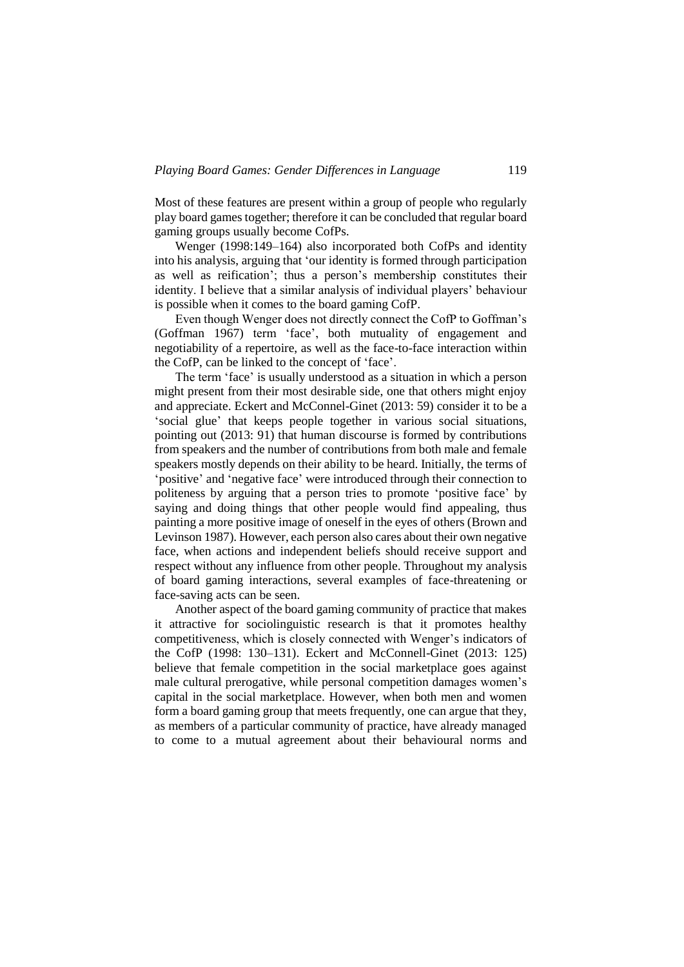Most of these features are present within a group of people who regularly play board games together; therefore it can be concluded that regular board gaming groups usually become CofPs.

Wenger (1998:149–164) also incorporated both CofPs and identity into his analysis, arguing that 'our identity is formed through participation as well as reification'; thus a person's membership constitutes their identity. I believe that a similar analysis of individual players' behaviour is possible when it comes to the board gaming CofP.

Even though Wenger does not directly connect the CofP to Goffman's (Goffman 1967) term 'face', both mutuality of engagement and negotiability of a repertoire, as well as the face-to-face interaction within the CofP, can be linked to the concept of 'face'.

The term 'face' is usually understood as a situation in which a person might present from their most desirable side, one that others might enjoy and appreciate. Eckert and McConnel-Ginet (2013: 59) consider it to be a 'social glue' that keeps people together in various social situations, pointing out (2013: 91) that human discourse is formed by contributions from speakers and the number of contributions from both male and female speakers mostly depends on their ability to be heard. Initially, the terms of 'positive' and 'negative face' were introduced through their connection to politeness by arguing that a person tries to promote 'positive face' by saying and doing things that other people would find appealing, thus painting a more positive image of oneself in the eyes of others [\(Brown and](#page-19-0)  [Levinson 1987\).](#page-19-0) However, each person also cares about their own negative face, when actions and independent beliefs should receive support and respect without any influence from other people. Throughout my analysis of board gaming interactions, several examples of face-threatening or face-saving acts can be seen.

Another aspect of the board gaming community of practice that makes it attractive for sociolinguistic research is that it promotes healthy competitiveness, which is closely connected with Wenger's indicators of the CofP (1998: 130‒131). Eckert and McConnell-Ginet (2013: 125) believe that female competition in the social marketplace goes against male cultural prerogative, while personal competition damages women's capital in the social marketplace. However, when both men and women form a board gaming group that meets frequently, one can argue that they, as members of a particular community of practice, have already managed to come to a mutual agreement about their behavioural norms and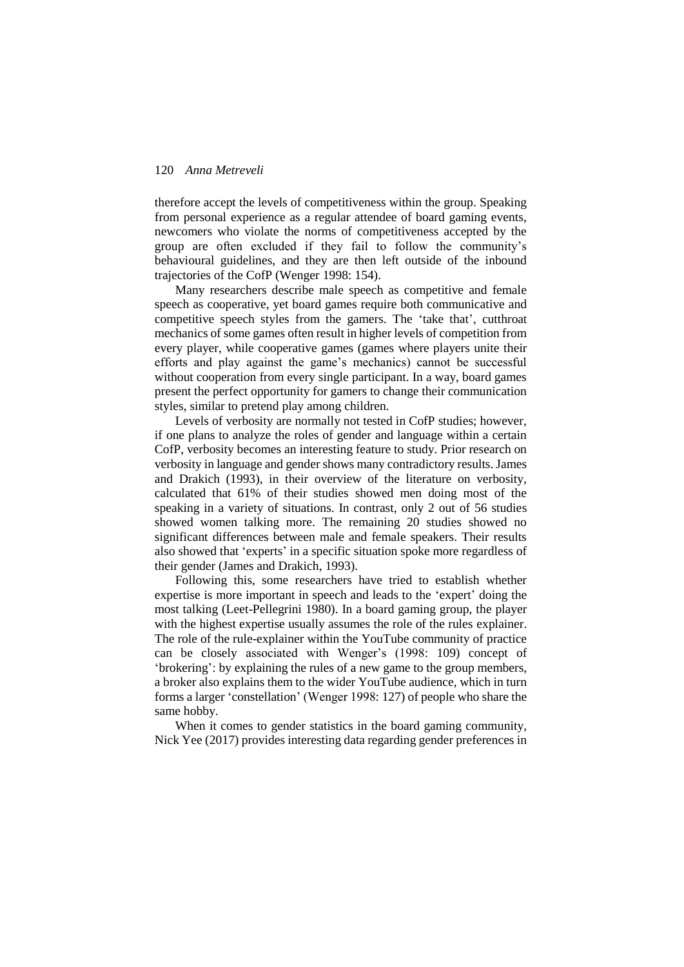therefore accept the levels of competitiveness within the group. Speaking from personal experience as a regular attendee of board gaming events, newcomers who violate the norms of competitiveness accepted by the group are often excluded if they fail to follow the community's behavioural guidelines, and they are then left outside of the inbound trajectories of the CofP (Wenger 1998: 154).

Many researchers describe male speech as competitive and female speech as cooperative, yet board games require both communicative and competitive speech styles from the gamers. The 'take that', cutthroat mechanics of some games often result in higher levels of competition from every player, while cooperative games (games where players unite their efforts and play against the game's mechanics) cannot be successful without cooperation from every single participant. In a way, board games present the perfect opportunity for gamers to change their communication styles, similar to pretend play among children.

Levels of verbosity are normally not tested in CofP studies; however, if one plans to analyze the roles of gender and language within a certain CofP, verbosity becomes an interesting feature to study. Prior research on verbosity in language and gender shows many contradictory results. James and Drakich (1993), in their overview of the literature on verbosity, calculated that 61% of their studies showed men doing most of the speaking in a variety of situations. In contrast, only 2 out of 56 studies showed women talking more. The remaining 20 studies showed no significant differences between male and female speakers. Their results also showed that 'experts' in a specific situation spoke more regardless of their gender (James and Drakich, 1993).

Following this, some researchers have tried to establish whether expertise is more important in speech and leads to the 'expert' doing the most talking (Leet-Pellegrini 1980). In a board gaming group, the player with the highest expertise usually assumes the role of the rules explainer. The role of the rule-explainer within the YouTube community of practice can be closely associated with Wenger's (1998: 109) concept of 'brokering': by explaining the rules of a new game to the group members, a broker also explains them to the wider YouTube audience, which in turn forms a larger 'constellation' (Wenger 1998: 127) of people who share the same hobby.

When it comes to gender statistics in the board gaming community, Nick Yee (2017) provides interesting data regarding gender preferences in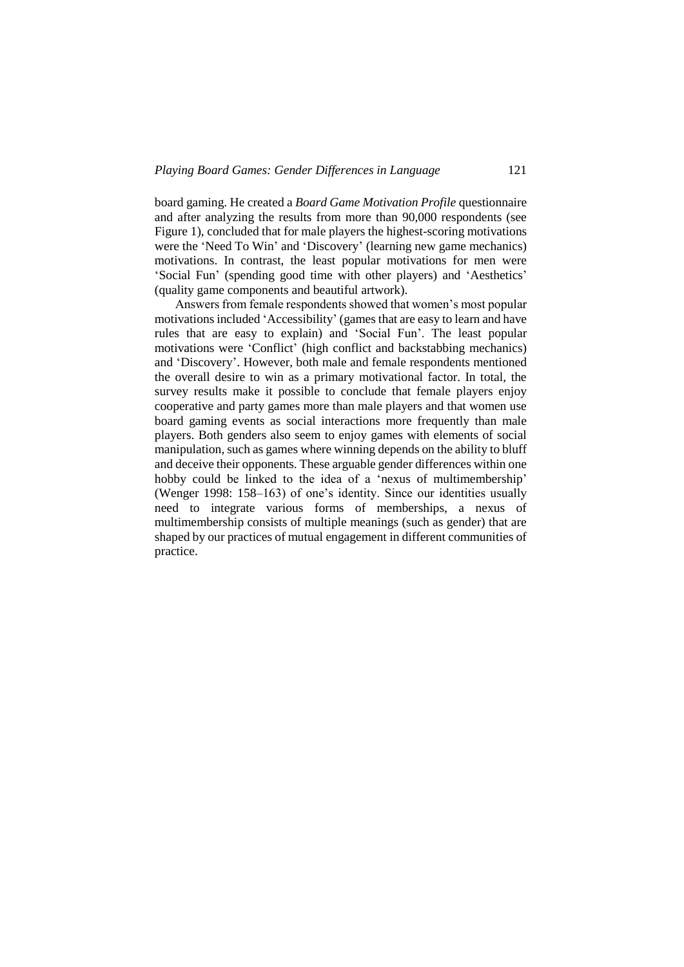board gaming. He created a *Board Game Motivation Profile* questionnaire and after analyzing the results from more than 90,000 respondents (see Figure 1), concluded that for male players the highest-scoring motivations were the 'Need To Win' and 'Discovery' (learning new game mechanics) motivations. In contrast, the least popular motivations for men were 'Social Fun' (spending good time with other players) and 'Aesthetics' (quality game components and beautiful artwork).

Answers from female respondents showed that women's most popular motivations included 'Accessibility' (games that are easy to learn and have rules that are easy to explain) and 'Social Fun'. The least popular motivations were 'Conflict' (high conflict and backstabbing mechanics) and 'Discovery'. However, both male and female respondents mentioned the overall desire to win as a primary motivational factor. In total, the survey results make it possible to conclude that female players enjoy cooperative and party games more than male players and that women use board gaming events as social interactions more frequently than male players. Both genders also seem to enjoy games with elements of social manipulation, such as games where winning depends on the ability to bluff and deceive their opponents. These arguable gender differences within one hobby could be linked to the idea of a 'nexus of multimembership' (Wenger 1998: 158–163) of one's identity. Since our identities usually need to integrate various forms of memberships, a nexus of multimembership consists of multiple meanings (such as gender) that are shaped by our practices of mutual engagement in different communities of practice.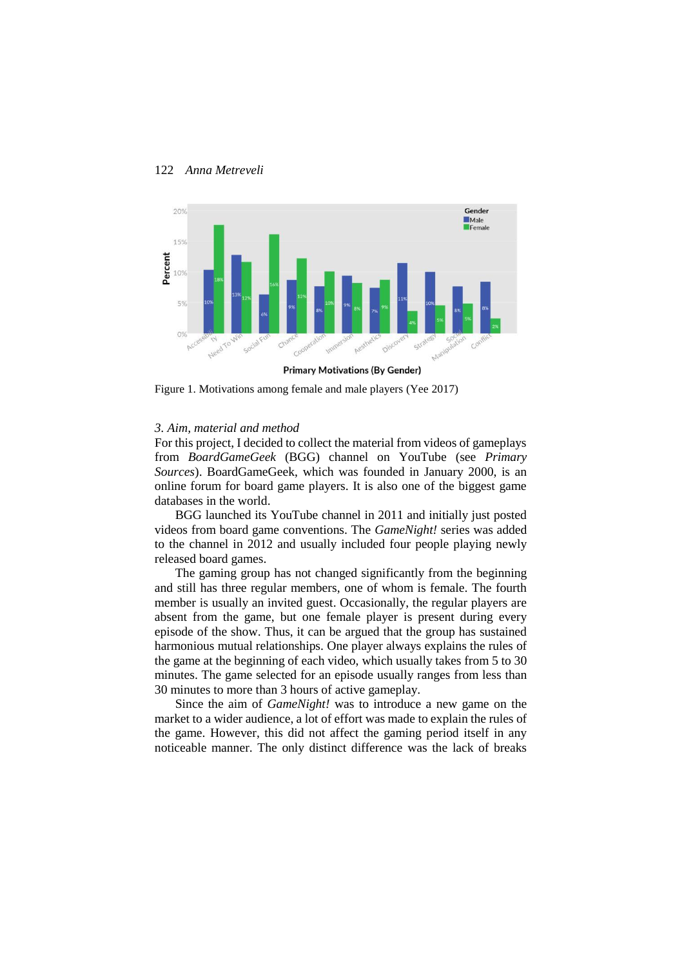

Figure 1. Motivations among female and male players (Yee 2017)

#### *3. Aim, material and method*

For this project, I decided to collect the material from videos of gameplays from *BoardGameGeek* (BGG) channel on YouTube (see *Primary Sources*). BoardGameGeek, which was founded in January 2000, is an online forum for board game players. It is also one of the biggest game databases in the world.

BGG launched its YouTube channel in 2011 and initially just posted videos from board game conventions. The *GameNight!* series was added to the channel in 2012 and usually included four people playing newly released board games.

The gaming group has not changed significantly from the beginning and still has three regular members, one of whom is female. The fourth member is usually an invited guest. Occasionally, the regular players are absent from the game, but one female player is present during every episode of the show. Thus, it can be argued that the group has sustained harmonious mutual relationships. One player always explains the rules of the game at the beginning of each video, which usually takes from 5 to 30 minutes. The game selected for an episode usually ranges from less than 30 minutes to more than 3 hours of active gameplay.

Since the aim of *GameNight!* was to introduce a new game on the market to a wider audience, a lot of effort was made to explain the rules of the game. However, this did not affect the gaming period itself in any noticeable manner. The only distinct difference was the lack of breaks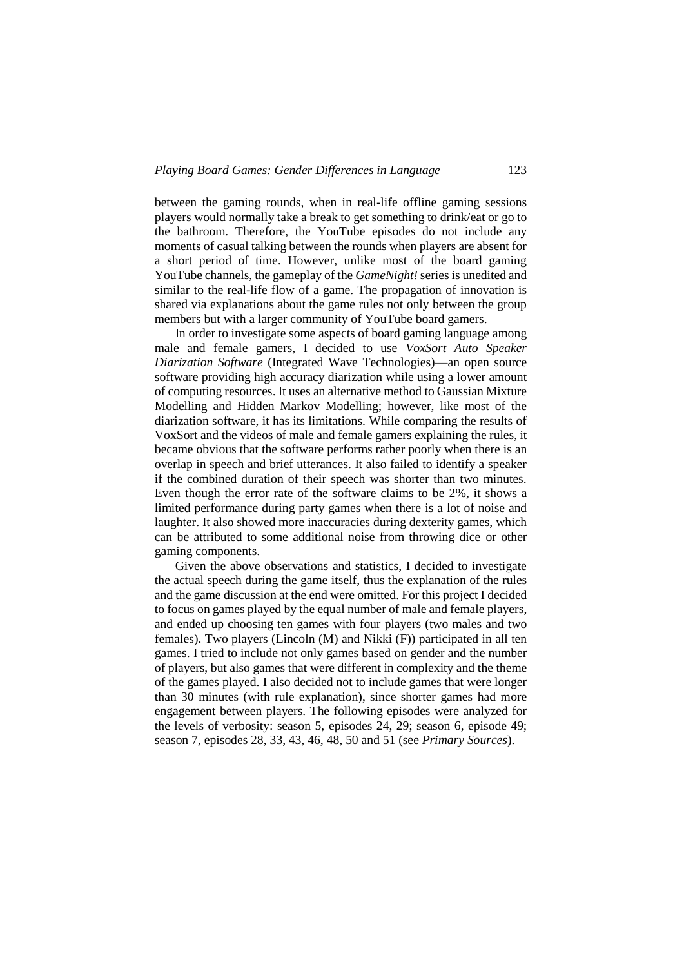between the gaming rounds, when in real-life offline gaming sessions players would normally take a break to get something to drink/eat or go to the bathroom. Therefore, the YouTube episodes do not include any moments of casual talking between the rounds when players are absent for a short period of time. However, unlike most of the board gaming YouTube channels, the gameplay of the *GameNight!* series is unedited and similar to the real-life flow of a game. The propagation of innovation is shared via explanations about the game rules not only between the group members but with a larger community of YouTube board gamers.

In order to investigate some aspects of board gaming language among male and female gamers, I decided to use *VoxSort Auto Speaker Diarization Software* (Integrated Wave Technologies)—an open source software providing high accuracy diarization while using a lower amount of computing resources. It uses an alternative method to Gaussian Mixture Modelling and Hidden Markov Modelling; however, like most of the diarization software, it has its limitations. While comparing the results of VoxSort and the videos of male and female gamers explaining the rules, it became obvious that the software performs rather poorly when there is an overlap in speech and brief utterances. It also failed to identify a speaker if the combined duration of their speech was shorter than two minutes. Even though the error rate of the software claims to be 2%, it shows a limited performance during party games when there is a lot of noise and laughter. It also showed more inaccuracies during dexterity games, which can be attributed to some additional noise from throwing dice or other gaming components.

Given the above observations and statistics, I decided to investigate the actual speech during the game itself, thus the explanation of the rules and the game discussion at the end were omitted. For this project I decided to focus on games played by the equal number of male and female players, and ended up choosing ten games with four players (two males and two females). Two players (Lincoln (M) and Nikki (F)) participated in all ten games. I tried to include not only games based on gender and the number of players, but also games that were different in complexity and the theme of the games played. I also decided not to include games that were longer than 30 minutes (with rule explanation), since shorter games had more engagement between players. The following episodes were analyzed for the levels of verbosity: season 5, episodes 24, 29; season 6, episode 49; season 7, episodes 28, 33, 43, 46, 48, 50 and 51 (see *Primary Sources*).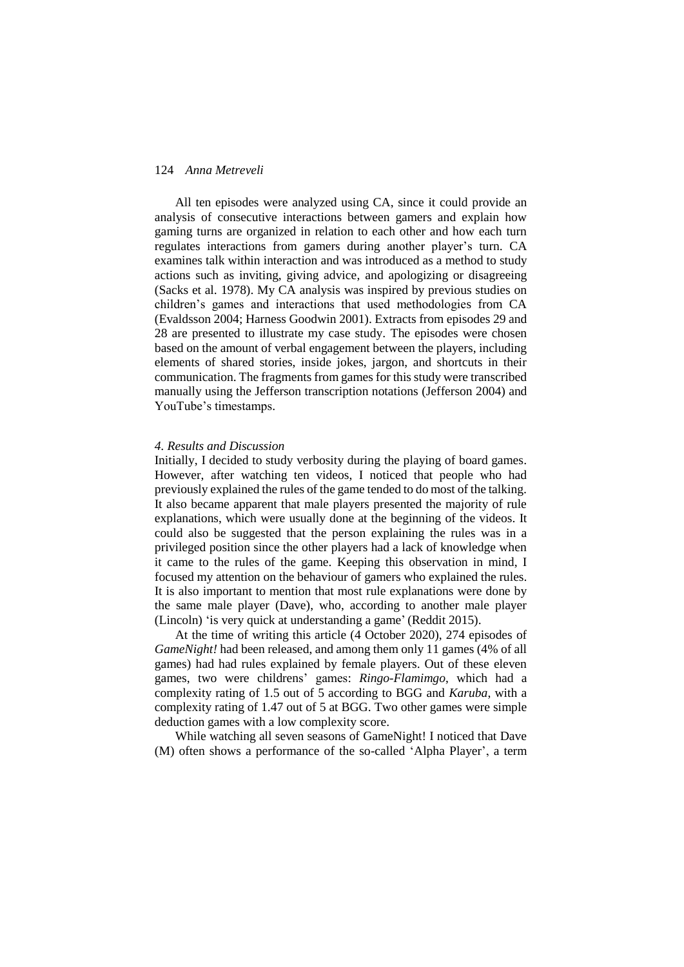All ten episodes were analyzed using CA, since it could provide an analysis of consecutive interactions between gamers and explain how gaming turns are organized in relation to each other and how each turn regulates interactions from gamers during another player's turn. CA examines talk within interaction and was introduced as a method to study actions such as inviting, giving advice, and apologizing or disagreeing (Sacks et al. 1978). My CA analysis was inspired by previous studies on children's games and interactions that used methodologies from CA (Evaldsson 2004; Harness Goodwin 2001). Extracts from episodes 29 and 28 are presented to illustrate my case study. The episodes were chosen based on the amount of verbal engagement between the players, including elements of shared stories, inside jokes, jargon, and shortcuts in their communication. The fragments from games for this study were transcribed manually using the Jefferson transcription notations (Jefferson 2004) and YouTube's timestamps.

# *4. Results and Discussion*

Initially, I decided to study verbosity during the playing of board games. However, after watching ten videos, I noticed that people who had previously explained the rules of the game tended to do most of the talking. It also became apparent that male players presented the majority of rule explanations, which were usually done at the beginning of the videos. It could also be suggested that the person explaining the rules was in a privileged position since the other players had a lack of knowledge when it came to the rules of the game. Keeping this observation in mind, I focused my attention on the behaviour of gamers who explained the rules. It is also important to mention that most rule explanations were done by the same male player (Dave), who, according to another male player (Lincoln) 'is very quick at understanding a game' (Reddit 2015).

At the time of writing this article (4 October 2020), 274 episodes of *GameNight!* had been released, and among them only 11 games (4% of all games) had had rules explained by female players. Out of these eleven games, two were childrens' games: *Ringo-Flamimgo*, which had a complexity rating of 1.5 out of 5 according to BGG and *Karuba*, with a complexity rating of 1.47 out of 5 at BGG. Two other games were simple deduction games with a low complexity score.

While watching all seven seasons of GameNight! I noticed that Dave (M) often shows a performance of the so-called 'Alpha Player', a term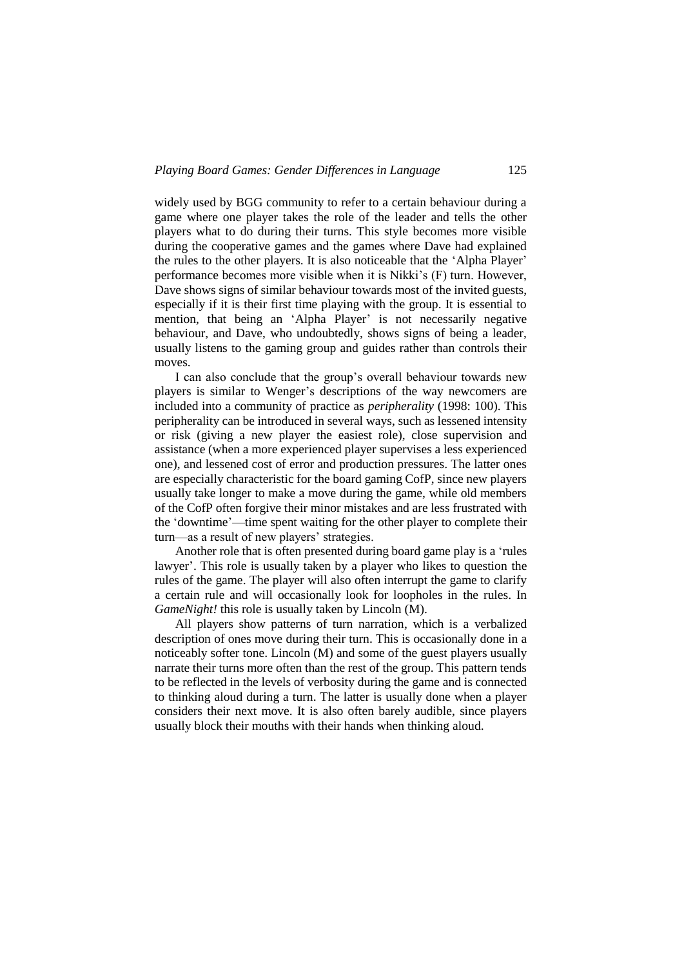widely used by BGG community to refer to a certain behaviour during a game where one player takes the role of the leader and tells the other players what to do during their turns. This style becomes more visible during the cooperative games and the games where Dave had explained the rules to the other players. It is also noticeable that the 'Alpha Player' performance becomes more visible when it is Nikki's (F) turn. However, Dave shows signs of similar behaviour towards most of the invited guests, especially if it is their first time playing with the group. It is essential to mention, that being an 'Alpha Player' is not necessarily negative behaviour, and Dave, who undoubtedly, shows signs of being a leader, usually listens to the gaming group and guides rather than controls their moves.

I can also conclude that the group's overall behaviour towards new players is similar to Wenger's descriptions of the way newcomers are included into a community of practice as *peripherality* (1998: 100). This peripherality can be introduced in several ways, such as lessened intensity or risk (giving a new player the easiest role), close supervision and assistance (when a more experienced player supervises a less experienced one), and lessened cost of error and production pressures. The latter ones are especially characteristic for the board gaming CofP, since new players usually take longer to make a move during the game, while old members of the CofP often forgive their minor mistakes and are less frustrated with the 'downtime'—time spent waiting for the other player to complete their turn—as a result of new players' strategies.

Another role that is often presented during board game play is a 'rules lawyer'. This role is usually taken by a player who likes to question the rules of the game. The player will also often interrupt the game to clarify a certain rule and will occasionally look for loopholes in the rules. In *GameNight!* this role is usually taken by Lincoln (M).

All players show patterns of turn narration, which is a verbalized description of ones move during their turn. This is occasionally done in a noticeably softer tone. Lincoln (M) and some of the guest players usually narrate their turns more often than the rest of the group. This pattern tends to be reflected in the levels of verbosity during the game and is connected to thinking aloud during a turn. The latter is usually done when a player considers their next move. It is also often barely audible, since players usually block their mouths with their hands when thinking aloud.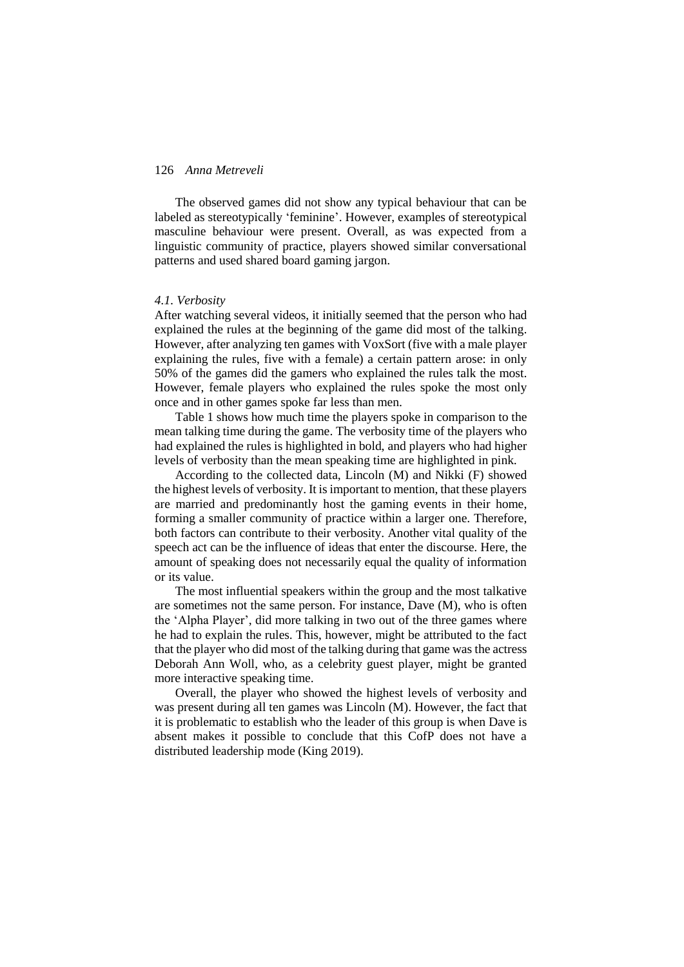The observed games did not show any typical behaviour that can be labeled as stereotypically 'feminine'. However, examples of stereotypical masculine behaviour were present. Overall, as was expected from a linguistic community of practice, players showed similar conversational patterns and used shared board gaming jargon.

#### *4.1. Verbosity*

After watching several videos, it initially seemed that the person who had explained the rules at the beginning of the game did most of the talking. However, after analyzing ten games with VoxSort (five with a male player explaining the rules, five with a female) a certain pattern arose: in only 50% of the games did the gamers who explained the rules talk the most. However, female players who explained the rules spoke the most only once and in other games spoke far less than men.

Table 1 shows how much time the players spoke in comparison to the mean talking time during the game. The verbosity time of the players who had explained the rules is highlighted in bold, and players who had higher levels of verbosity than the mean speaking time are highlighted in pink.

According to the collected data, Lincoln (M) and Nikki (F) showed the highest levels of verbosity. It is important to mention, that these players are married and predominantly host the gaming events in their home, forming a smaller community of practice within a larger one. Therefore, both factors can contribute to their verbosity. Another vital quality of the speech act can be the influence of ideas that enter the discourse. Here, the amount of speaking does not necessarily equal the quality of information or its value.

The most influential speakers within the group and the most talkative are sometimes not the same person. For instance, Dave (M), who is often the 'Alpha Player', did more talking in two out of the three games where he had to explain the rules. This, however, might be attributed to the fact that the player who did most of the talking during that game was the actress Deborah Ann Woll, who, as a celebrity guest player, might be granted more interactive speaking time.

Overall, the player who showed the highest levels of verbosity and was present during all ten games was Lincoln (M). However, the fact that it is problematic to establish who the leader of this group is when Dave is absent makes it possible to conclude that this CofP does not have a distributed leadership mode (King 2019).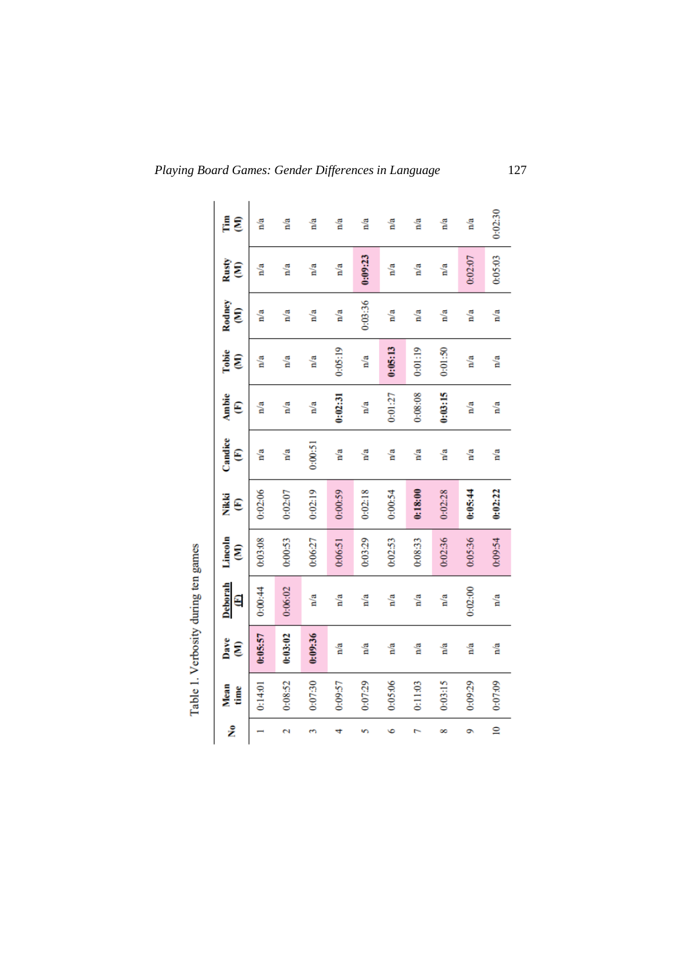| ż            | Mean<br>time | Dave<br>E | <b>Deborah</b><br>Θ | Lincoln<br>g | Nikki<br>ε | Candice<br>E | <b>Ambie</b><br>ε | Tobie<br>E | Rodney<br>g | Rusty<br>g | É<br>g  |
|--------------|--------------|-----------|---------------------|--------------|------------|--------------|-------------------|------------|-------------|------------|---------|
|              | 0:14:01      | 0:05:57   | 0:00:44             | 0:03.08      | 0:02:06    | n/a          | n/a               | n/a        | n/a         | n/a        | n/a     |
| Ν            | 0:08:52      | 0:03:02   | 0:06:02             | 0:00:53      | 0:02:07    | n/a          | n/a               | n/a        | n/a         | n/a        | n/a     |
| S            | 0:07:30      | 0:09:36   | n/a                 | 0:06:27      | 0:02:19    | 0:00:51      | n/a               | n/a        | n/a         | n/a        | n/a     |
| 4            | 0:09:57      | n/a       | n/a                 | 0:06:51      | 0:00:59    | n/a          | 0:02:31           | 0:05:19    | n/a         | n/a        | n/a     |
|              | 0:07:29      | n/a       | n/a                 | 0:03:29      | 0:02:18    | n/a          | n/a               | n/a        | 0:03:36     | 0:09:23    | n/a     |
| ۰            | 0:05.06      | n/a       | n/a                 | 0:02:53      | 0:00:54    | n/a          | 0:01:27           | 0:05:13    | n/a         | n/a        | n/a     |
|              | 0:11:03      | n/a       | n/a                 | 0:08:33      | 0:18:00    | n'a          | 0:08:08           | 0:01:19    | n/a         | n/a        | n/a     |
| ∞            | 0:03:15      | n/a       | n/a                 | 0:02:36      | 0:02:28    | n/a          | 0:03:15           | 0:01:50    | n/a         | n/a        | n/a     |
| ۰            | 0:09:29      | n/a       | 0:02:00             | 0:05:36      | 0:05:44    | n/a          | n/a               | n/a        | n/a         | 0:02:07    | n/a     |
| $\mathbf{a}$ | 0:07:09      | n/a       | n/a                 | 0:09:54      | 0:02:22    | n/a          | n/a               | n/a        | n/a         | 0:05:03    | 0:02:30 |

Table 1. Verbosity during ten games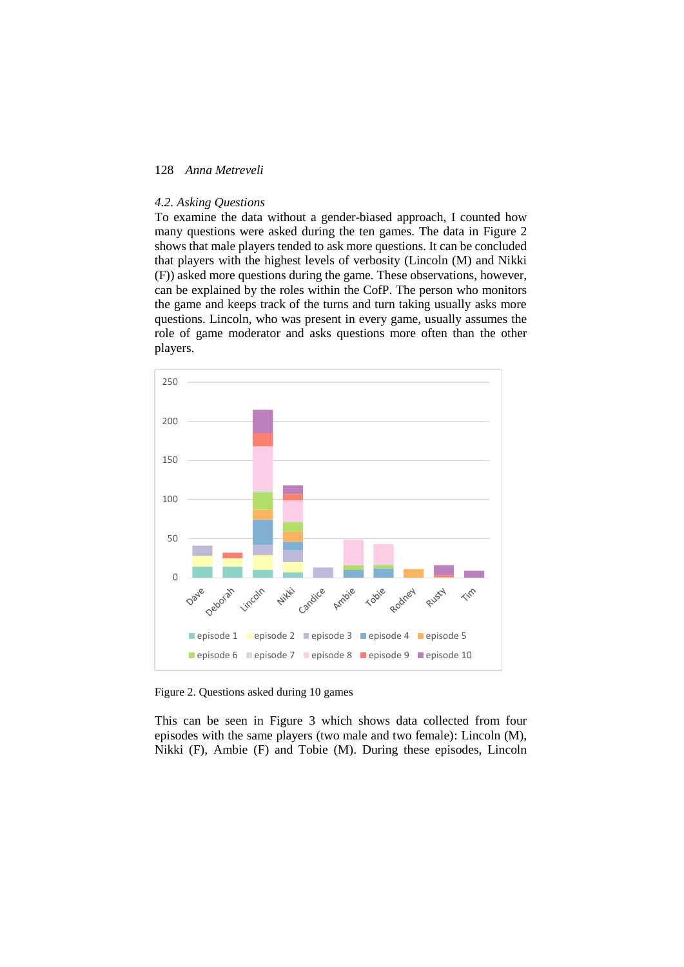#### *4.2. Asking Questions*

To examine the data without a gender-biased approach, I counted how many questions were asked during the ten games. The data in Figure 2 shows that male players tended to ask more questions. It can be concluded that players with the highest levels of verbosity (Lincoln (M) and Nikki (F)) asked more questions during the game. These observations, however, can be explained by the roles within the CofP. The person who monitors the game and keeps track of the turns and turn taking usually asks more questions. Lincoln, who was present in every game, usually assumes the role of game moderator and asks questions more often than the other players.



Figure 2. Questions asked during 10 games

This can be seen in Figure 3 which shows data collected from four episodes with the same players (two male and two female): Lincoln (M), Nikki (F), Ambie (F) and Tobie (M). During these episodes, Lincoln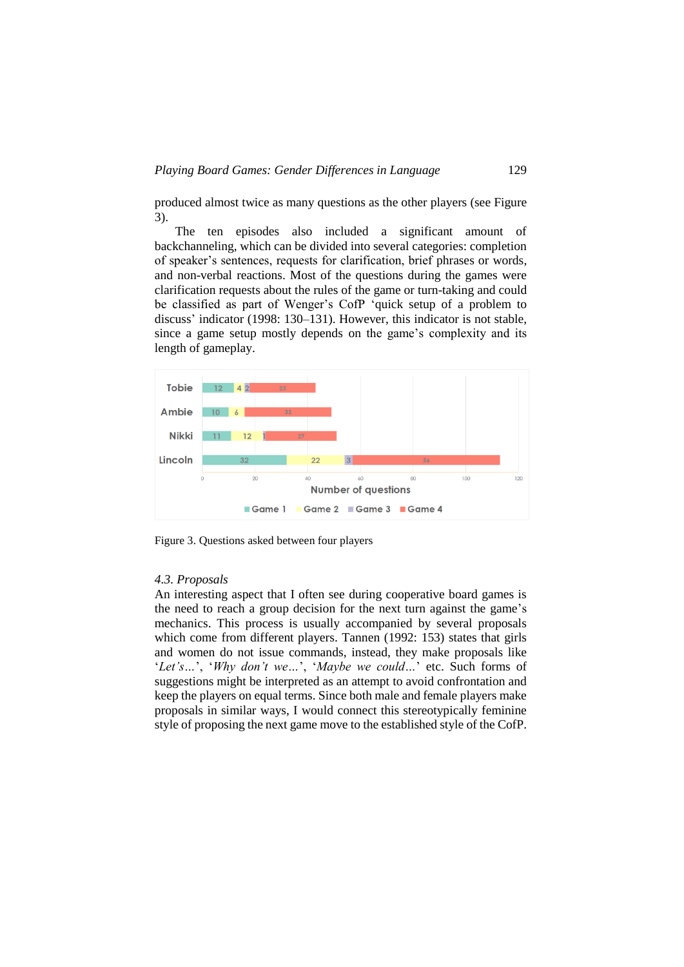produced almost twice as many questions as the other players (see Figure 3).

The ten episodes also included a significant amount of backchanneling, which can be divided into several categories: completion of speaker's sentences, requests for clarification, brief phrases or words, and non-verbal reactions. Most of the questions during the games were clarification requests about the rules of the game or turn-taking and could be classified as part of Wenger's CofP 'quick setup of a problem to discuss' indicator (1998: 130–131). However, this indicator is not stable, since a game setup mostly depends on the game's complexity and its length of gameplay.



Figure 3. Questions asked between four players

### *4.3. Proposals*

An interesting aspect that I often see during cooperative board games is the need to reach a group decision for the next turn against the game's mechanics. This process is usually accompanied by several proposals which come from different players. Tannen (1992: 153) states that girls and women do not issue commands, instead, they make proposals like '*Let's…*', '*Why don't we…*', '*Maybe we could…*' etc. Such forms of suggestions might be interpreted as an attempt to avoid confrontation and keep the players on equal terms. Since both male and female players make proposals in similar ways, I would connect this stereotypically feminine style of proposing the next game move to the established style of the CofP.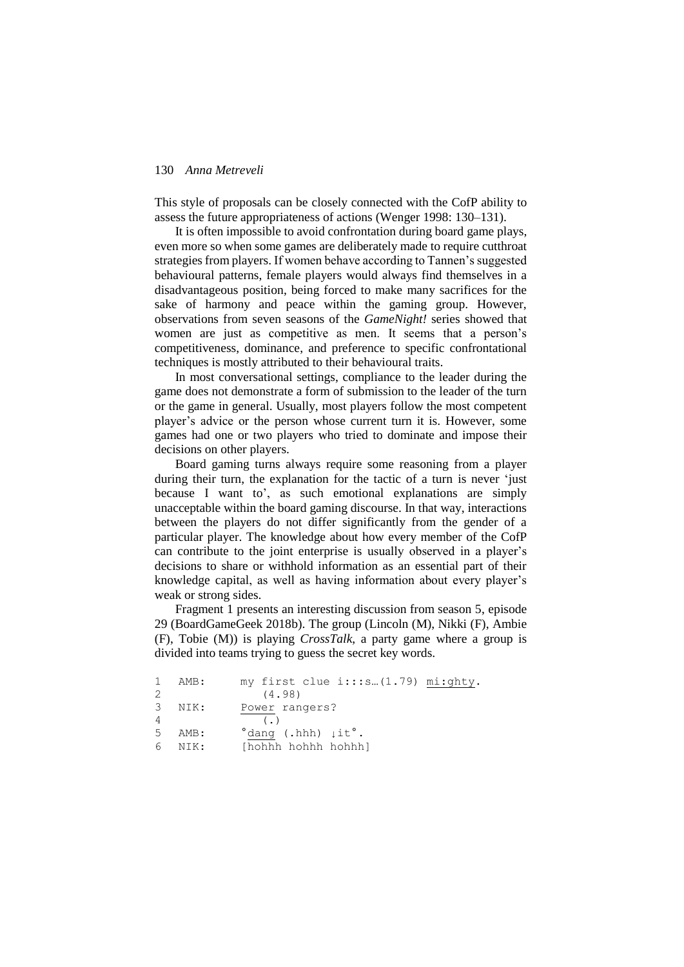This style of proposals can be closely connected with the CofP ability to assess the future appropriateness of actions (Wenger 1998: 130–131).

It is often impossible to avoid confrontation during board game plays, even more so when some games are deliberately made to require cutthroat strategies from players. If women behave according to Tannen's suggested behavioural patterns, female players would always find themselves in a disadvantageous position, being forced to make many sacrifices for the sake of harmony and peace within the gaming group. However, observations from seven seasons of the *GameNight!* series showed that women are just as competitive as men. It seems that a person's competitiveness, dominance, and preference to specific confrontational techniques is mostly attributed to their behavioural traits.

In most conversational settings, compliance to the leader during the game does not demonstrate a form of submission to the leader of the turn or the game in general. Usually, most players follow the most competent player's advice or the person whose current turn it is. However, some games had one or two players who tried to dominate and impose their decisions on other players.

Board gaming turns always require some reasoning from a player during their turn, the explanation for the tactic of a turn is never 'just because I want to', as such emotional explanations are simply unacceptable within the board gaming discourse. In that way, interactions between the players do not differ significantly from the gender of a particular player. The knowledge about how every member of the CofP can contribute to the joint enterprise is usually observed in a player's decisions to share or withhold information as an essential part of their knowledge capital, as well as having information about every player's weak or strong sides.

Fragment 1 presents an interesting discussion from season 5, episode 29 (BoardGameGeek 2018b). The group (Lincoln (M), Nikki (F), Ambie (F), Tobie (M)) is playing *CrossTalk*, a party game where a group is divided into teams trying to guess the secret key words.

| $\mathbf{1}$ | AMB: | my first clue i:::s (1.79) mi:ghty.                       |  |
|--------------|------|-----------------------------------------------------------|--|
| 2            |      | (4.98)                                                    |  |
| 3            | NIK: | Power rangers?                                            |  |
| 4            |      | $($ .)                                                    |  |
| 5            | AMB: | $\textdegree$ dang (.hhh) $\downarrow$ it $\textdegree$ . |  |
| 6            | NIK: | [hohhh hohhh hohhh]                                       |  |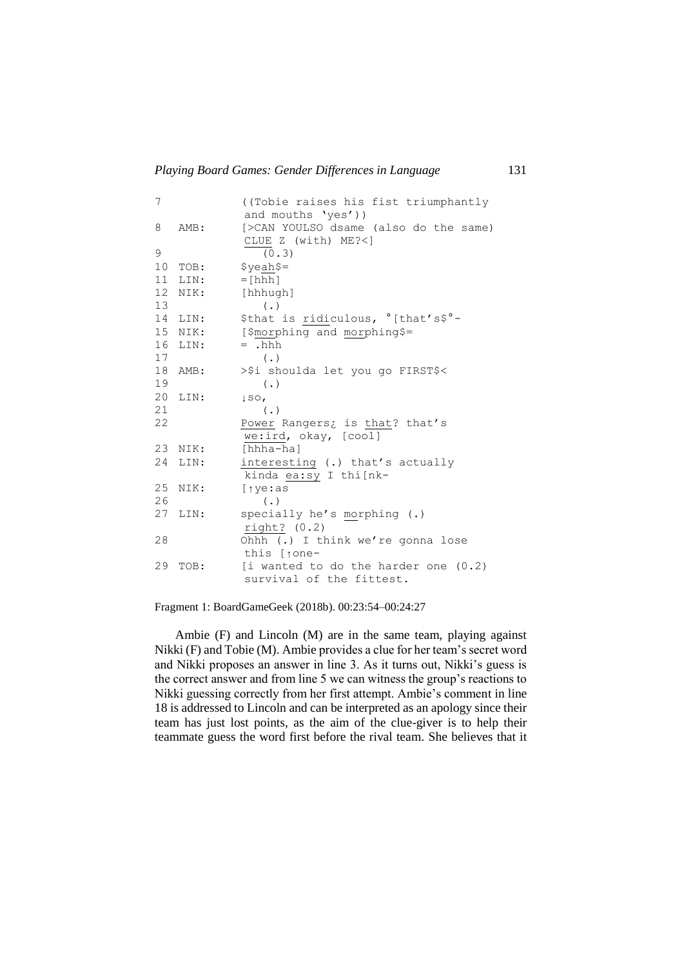|         | ((Tobie raises his fist triumphantly)<br>and mouths 'yes')) |
|---------|-------------------------------------------------------------|
| AMB:    | [>CAN YOULSO dsame (also do the same)                       |
|         | CLUE Z (with) ME?<]                                         |
|         | (0.3)                                                       |
| TOB:    | $$yeah$=$                                                   |
|         | $=$ [hhh]                                                   |
| NIK:    | [hhhugh]                                                    |
|         | $(\cdot, \cdot)$                                            |
| 14 LIN: | \$that is ridiculous, °[that's\$°-                          |
| 15 NIK: | [\$morphing and morphing\$=                                 |
| LIN:    | $=$ .hhh                                                    |
|         | $(\cdot)$                                                   |
| AMB:    | >\$i shoulda let you go FIRST\$<                            |
|         | $(\cdot)$                                                   |
| LIN:    | $\downarrow$ SO,                                            |
|         | $(\cdot)$                                                   |
|         | Power Rangers; is that? that's                              |
|         | we:ird, okay, [cool]                                        |
| NIK:    | [hhha-ha]                                                   |
| LIN:    | interesting (.) that's actually                             |
|         | kinda ea:sy I thi[nk-                                       |
| NIK:    | $[$ $\uparrow$ ye: as                                       |
|         | $(\cdot)$                                                   |
| LIN:    | specially he's morphing (.)                                 |
|         | right? (0.2)                                                |
|         | Ohhh (.) I think we're gonna lose                           |
|         | this [tone-                                                 |
| TOB:    | [i wanted to do the harder one $(0.2)$                      |
|         | survival of the fittest.                                    |
|         | LIN:                                                        |

Fragment 1: BoardGameGeek (2018b). 00:23:54–00:24:27

Ambie (F) and Lincoln (M) are in the same team, playing against Nikki (F) and Tobie (M). Ambie provides a clue for her team's secret word and Nikki proposes an answer in line 3. As it turns out, Nikki's guess is the correct answer and from line 5 we can witness the group's reactions to Nikki guessing correctly from her first attempt. Ambie's comment in line 18 is addressed to Lincoln and can be interpreted as an apology since their team has just lost points, as the aim of the clue-giver is to help their teammate guess the word first before the rival team. She believes that it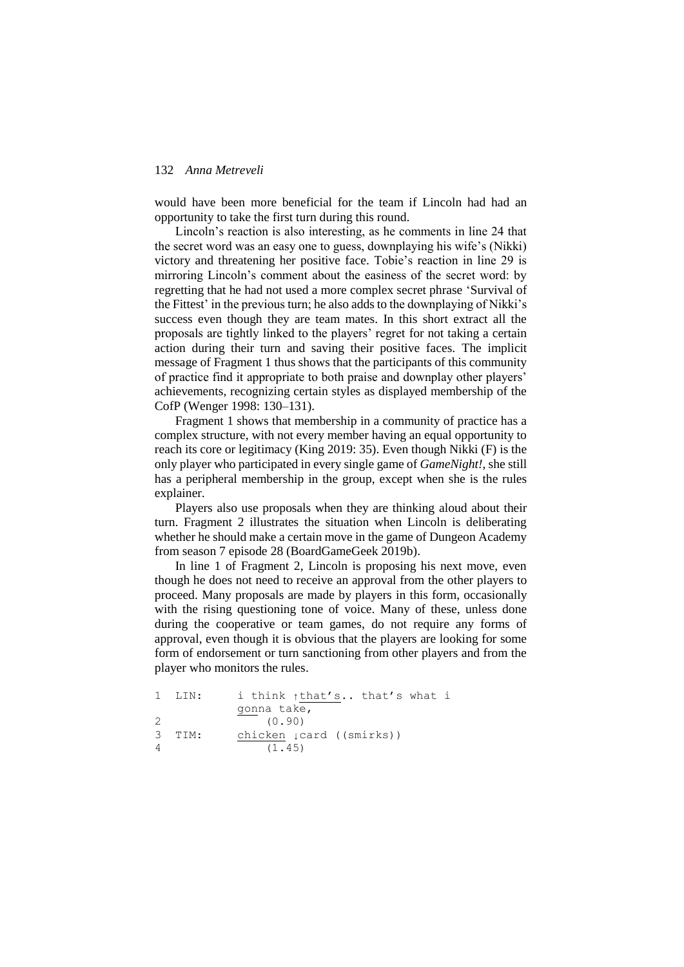would have been more beneficial for the team if Lincoln had had an opportunity to take the first turn during this round.

Lincoln's reaction is also interesting, as he comments in line 24 that the secret word was an easy one to guess, downplaying his wife's (Nikki) victory and threatening her positive face. Tobie's reaction in line 29 is mirroring Lincoln's comment about the easiness of the secret word: by regretting that he had not used a more complex secret phrase 'Survival of the Fittest' in the previous turn; he also adds to the downplaying of Nikki's success even though they are team mates. In this short extract all the proposals are tightly linked to the players' regret for not taking a certain action during their turn and saving their positive faces. The implicit message of Fragment 1 thus shows that the participants of this community of practice find it appropriate to both praise and downplay other players' achievements, recognizing certain styles as displayed membership of the CofP (Wenger 1998: 130–131).

Fragment 1 shows that membership in a community of practice has a complex structure, with not every member having an equal opportunity to reach its core or legitimacy (King 2019: 35). Even though Nikki (F) is the only player who participated in every single game of *GameNight!*, she still has a peripheral membership in the group, except when she is the rules explainer.

Players also use proposals when they are thinking aloud about their turn. Fragment 2 illustrates the situation when Lincoln is deliberating whether he should make a certain move in the game of Dungeon Academy from season 7 episode 28 (BoardGameGeek 2019b).

In line 1 of Fragment 2, Lincoln is proposing his next move, even though he does not need to receive an approval from the other players to proceed. Many proposals are made by players in this form, occasionally with the rising questioning tone of voice. Many of these, unless done during the cooperative or team games, do not require any forms of approval, even though it is obvious that the players are looking for some form of endorsement or turn sanctioning from other players and from the player who monitors the rules.

```
1 LIN: i think ↑that's.. that's what i 
          gonna take,
2 (0.90)
3 TIM: chicken ↓card ((smirks))
4 \t(1.45)
```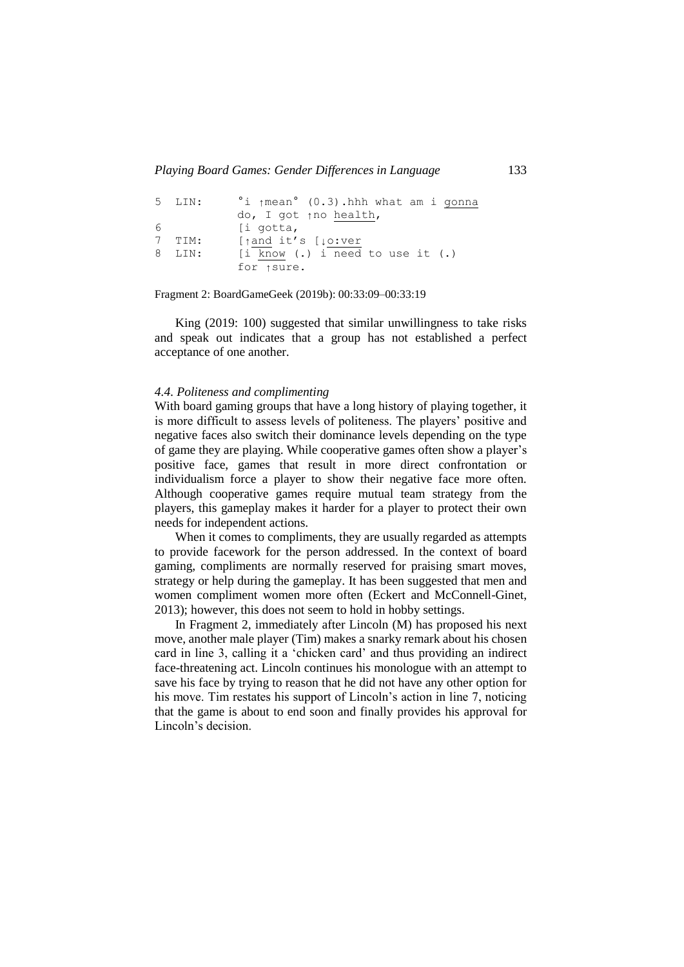```
5 LIN: °i ↑mean° (0.3).hhh what am i gonna
           do, I got ↑no health,
6 [i gotta,
7 TIM: [↑and it's [↓o:ver
8 LIN: [i know (.) i need to use it (.)
           for ↑sure.
```
Fragment 2: BoardGameGeek (2019b): 00:33:09–00:33:19

King (2019: 100) suggested that similar unwillingness to take risks and speak out indicates that a group has not established a perfect acceptance of one another.

#### *4.4. Politeness and complimenting*

With board gaming groups that have a long history of playing together, it is more difficult to assess levels of politeness. The players' positive and negative faces also switch their dominance levels depending on the type of game they are playing. While cooperative games often show a player's positive face, games that result in more direct confrontation or individualism force a player to show their negative face more often. Although cooperative games require mutual team strategy from the players, this gameplay makes it harder for a player to protect their own needs for independent actions.

When it comes to compliments, they are usually regarded as attempts to provide facework for the person addressed. In the context of board gaming, compliments are normally reserved for praising smart moves, strategy or help during the gameplay. It has been suggested that men and women compliment women more often [\(Eckert and McConnell-Ginet,](#page-19-0)  [2013\); h](#page-19-0)owever, this does not seem to hold in hobby settings.

In Fragment 2, immediately after Lincoln (M) has proposed his next move, another male player (Tim) makes a snarky remark about his chosen card in line 3, calling it a 'chicken card' and thus providing an indirect face-threatening act. Lincoln continues his monologue with an attempt to save his face by trying to reason that he did not have any other option for his move. Tim restates his support of Lincoln's action in line 7, noticing that the game is about to end soon and finally provides his approval for Lincoln's decision.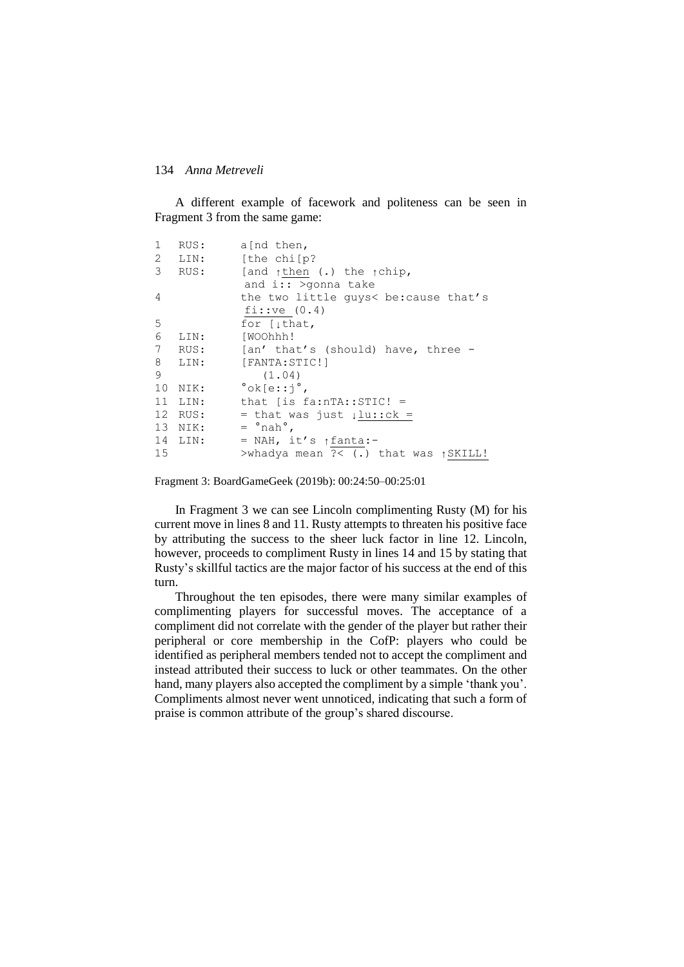A different example of facework and politeness can be seen in Fragment 3 from the same game:

| 1  | RUS:    | a[nd then,                                                                       |
|----|---------|----------------------------------------------------------------------------------|
|    | 2 LIN:  | [the chi[p?                                                                      |
| 3  | RUS:    | [and $\uparrow$ then (.) the $\uparrow$ chip,<br>and $i$ : > $\gamma$ > $\gamma$ |
| 4  |         | the two little quys< be:cause that's<br>$f$ i:: $ve$ (0.4)                       |
| 5  |         | for $[\]$ that,                                                                  |
| 6  | LIN:    | [WOOhhh!                                                                         |
|    |         | 7 RUS: [an' that's (should) have, three -                                        |
| 8  | LIN:    | [FANTA:STIC!]                                                                    |
| 9  |         | (1.04)                                                                           |
| 10 | NIK:    | $\textdegree$ ok $\textdegree$ e: $\textdegree$ i $\textdegree$                  |
|    | 11 LIN: | that [is $fa: nTA::STIC! =$                                                      |
|    | 12 RUS: | = that was just $\downarrow$ lu::ck =                                            |
|    | 13 NIK: | $=$ $^{\circ}$ nah $^{\circ}$ .                                                  |
|    | 14 LIN: | = NAH, it's $\uparrow$ fanta:-                                                   |
| 15 |         | >whadya mean ?< (.) that was $\uparrow$ SKILL!                                   |

Fragment 3: BoardGameGeek (2019b): 00:24:50–00:25:01

In Fragment 3 we can see Lincoln complimenting Rusty (M) for his current move in lines 8 and 11. Rusty attempts to threaten his positive face by attributing the success to the sheer luck factor in line 12. Lincoln, however, proceeds to compliment Rusty in lines 14 and 15 by stating that Rusty's skillful tactics are the major factor of his success at the end of this turn.

<span id="page-19-0"></span>Throughout the ten episodes, there were many similar examples of complimenting players for successful moves. The acceptance of a compliment did not correlate with the gender of the player but rather their peripheral or core membership in the CofP: players who could be identified as peripheral members tended not to accept the compliment and instead attributed their success to luck or other teammates. On the other hand, many players also accepted the compliment by a simple 'thank you'. Compliments almost never went unnoticed, indicating that such a form of praise is common attribute of the group's shared discourse.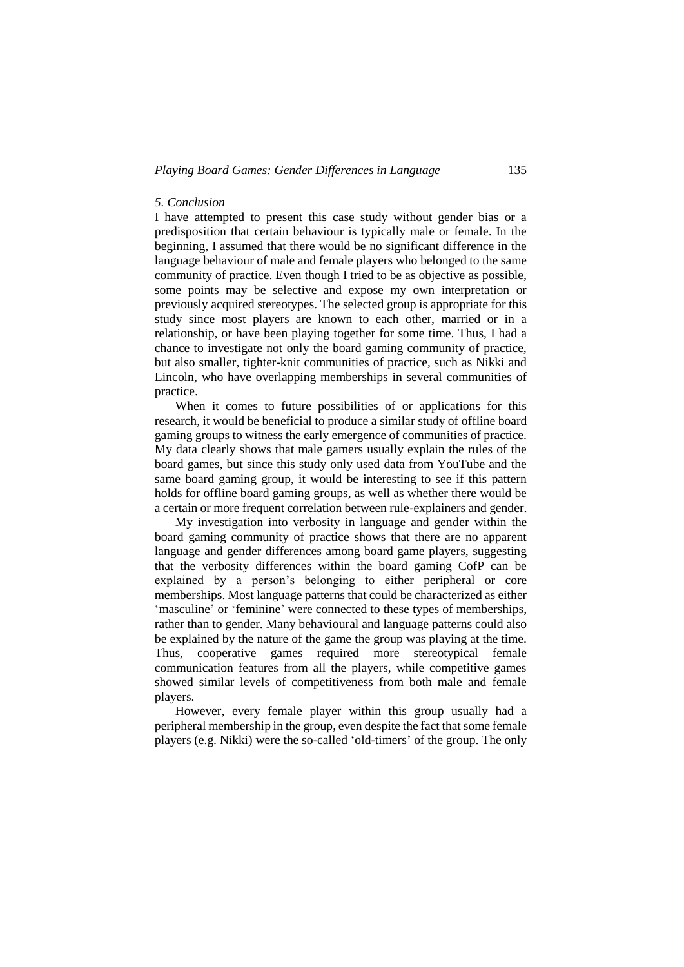#### *5. Conclusion*

I have attempted to present this case study without gender bias or a predisposition that certain behaviour is typically male or female. In the beginning, I assumed that there would be no significant difference in the language behaviour of male and female players who belonged to the same community of practice. Even though I tried to be as objective as possible, some points may be selective and expose my own interpretation or previously acquired stereotypes. The selected group is appropriate for this study since most players are known to each other, married or in a relationship, or have been playing together for some time. Thus, I had a chance to investigate not only the board gaming community of practice, but also smaller, tighter-knit communities of practice, such as Nikki and Lincoln, who have overlapping memberships in several communities of practice.

When it comes to future possibilities of or applications for this research, it would be beneficial to produce a similar study of offline board gaming groups to witness the early emergence of communities of practice. My data clearly shows that male gamers usually explain the rules of the board games, but since this study only used data from YouTube and the same board gaming group, it would be interesting to see if this pattern holds for offline board gaming groups, as well as whether there would be a certain or more frequent correlation between rule-explainers and gender.

My investigation into verbosity in language and gender within the board gaming community of practice shows that there are no apparent language and gender differences among board game players, suggesting that the verbosity differences within the board gaming CofP can be explained by a person's belonging to either peripheral or core memberships. Most language patterns that could be characterized as either 'masculine' or 'feminine' were connected to these types of memberships, rather than to gender. Many behavioural and language patterns could also be explained by the nature of the game the group was playing at the time. Thus, cooperative games required more stereotypical female communication features from all the players, while competitive games showed similar levels of competitiveness from both male and female players.

However, every female player within this group usually had a peripheral membership in the group, even despite the fact that some female players (e.g. Nikki) were the so-called 'old-timers' of the group. The only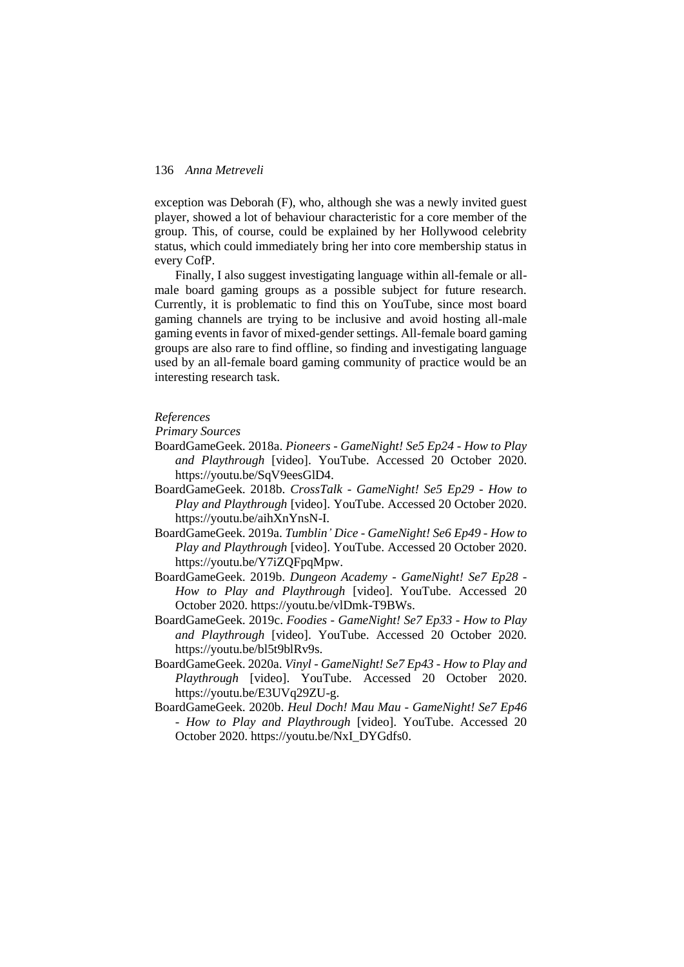exception was Deborah (F), who, although she was a newly invited guest player, showed a lot of behaviour characteristic for a core member of the group. This, of course, could be explained by her Hollywood celebrity status, which could immediately bring her into core membership status in every CofP.

Finally, I also suggest investigating language within all-female or allmale board gaming groups as a possible subject for future research. Currently, it is problematic to find this on YouTube, since most board gaming channels are trying to be inclusive and avoid hosting all-male gaming events in favor of mixed-gender settings. All-female board gaming groups are also rare to find offline, so finding and investigating language used by an all-female board gaming community of practice would be an interesting research task.

#### *References*

*Primary Sources*

- BoardGameGeek. 2018a. *Pioneers - GameNight! Se5 Ep24 - How to Play and Playthrough* [video]. YouTube. Accessed 20 October 2020. https://youtu.be/SqV9eesGlD4.
- BoardGameGeek. 2018b. *CrossTalk - GameNight! Se5 Ep29 - How to Play and Playthrough* [video]. YouTube. Accessed 20 October 2020. https://youtu.be/aihXnYnsN-I.
- BoardGameGeek. 2019a. *Tumblin' Dice - GameNight! Se6 Ep49 - How to Play and Playthrough* [video]. YouTube. Accessed 20 October 2020. https://youtu.be/Y7iZQFpqMpw.
- BoardGameGeek. 2019b. *Dungeon Academy - GameNight! Se7 Ep28 - How to Play and Playthrough* [video]. YouTube. Accessed 20 October 2020. https://youtu.be/vlDmk-T9BWs.
- BoardGameGeek. 2019c. *Foodies - GameNight! Se7 Ep33 - How to Play and Playthrough* [video]. YouTube. Accessed 20 October 2020. https://youtu.be/bl5t9blRv9s.
- BoardGameGeek. 2020a. *Vinyl - GameNight! Se7 Ep43 - How to Play and Playthrough* [video]. YouTube. Accessed 20 October 2020. https://youtu.be/E3UVq29ZU-g.
- BoardGameGeek. 2020b. *Heul Doch! Mau Mau - GameNight! Se7 Ep46 - How to Play and Playthrough* [video]. YouTube. Accessed 20 October 2020. https://youtu.be/NxI\_DYGdfs0.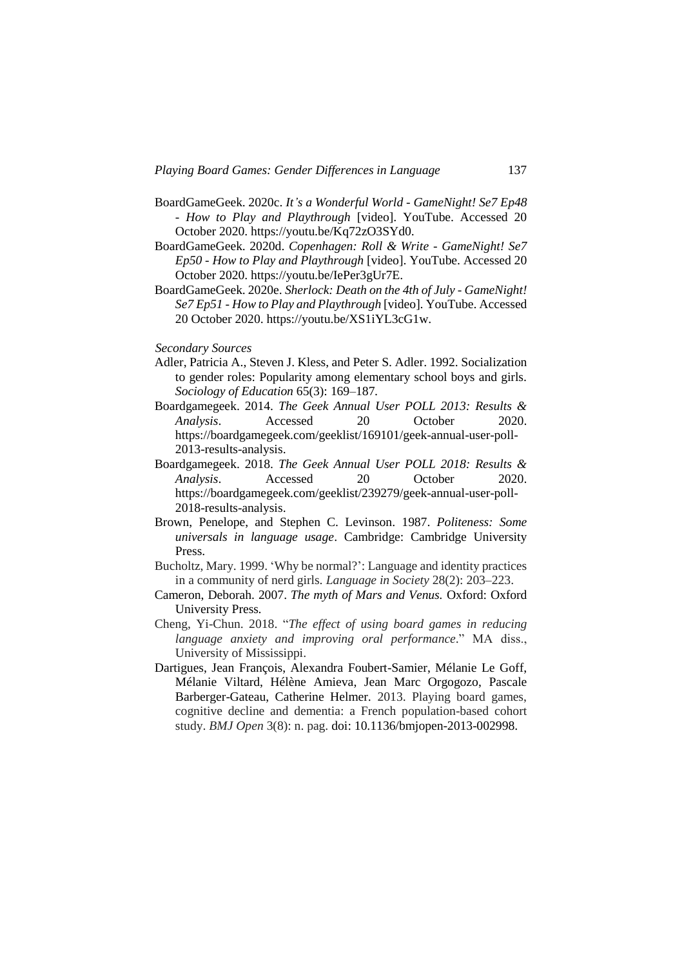- BoardGameGeek. 2020c. *It's a Wonderful World - GameNight! Se7 Ep48 - How to Play and Playthrough* [video]. YouTube. Accessed 20 October 2020. https://youtu.be/Kq72zO3SYd0.
- BoardGameGeek. 2020d. *Copenhagen: Roll & Write - GameNight! Se7 Ep50 - How to Play and Playthrough* [video]. YouTube. Accessed 20 October 2020. https://youtu.be/IePer3gUr7E.
- BoardGameGeek. 2020e. *Sherlock: Death on the 4th of July - GameNight! Se7 Ep51 - How to Play and Playthrough* [video]. YouTube. Accessed 20 October 2020. https://youtu.be/XS1iYL3cG1w.
- *Secondary Sources*
- Adler, Patricia A., Steven J. Kless, and Peter S. Adler. 1992. Socialization to gender roles: Popularity among elementary school boys and girls. *Sociology of Education* 65(3): 169–187*.*
- Boardgamegeek. 2014. *The Geek Annual User POLL 2013: Results & Analysis*. Accessed 20 October 2020. https://boardgamegeek.com/geeklist/169101/geek-annual-user-poll-2013-results-analysis.
- Boardgamegeek. 2018. *The Geek Annual User POLL 2018: Results & Analysis*. Accessed 20 October 2020. [https://boardgamegeek.com/geeklist/239279/geek-annual-user-poll-](https://boardgamegeek.com/geeklist/239279/geek-annual-user-poll-2018-results-analysis)[2018-results-analysis.](https://boardgamegeek.com/geeklist/239279/geek-annual-user-poll-2018-results-analysis)
- Brown, Penelope, and Stephen C. Levinson. 1987. *Politeness: Some universals in language usage*. Cambridge: Cambridge University Press.
- Bucholtz, Mary. 1999. 'Why be normal?': Language and identity practices in a community of nerd girls. *Language in Society* 28(2): 203–223.
- Cameron, Deborah. 2007. *The myth of Mars and Venus.* Oxford: Oxford University Press*.*
- Cheng, Yi-Chun. 2018. "*The effect of using board games in reducing language anxiety and improving oral performance*." MA diss., University of Mississippi.
- Dartigues, Jean François, Alexandra Foubert-Samier, Mélanie Le Goff, Mélanie Viltard, Hélène Amieva, Jean Marc Orgogozo, Pascale Barberger-Gateau, Catherine Helmer. 2013. Playing board games, cognitive decline and dementia: a French population-based cohort study. *BMJ Open* 3(8): n. pag. doi: 10.1136/bmjopen-2013-002998.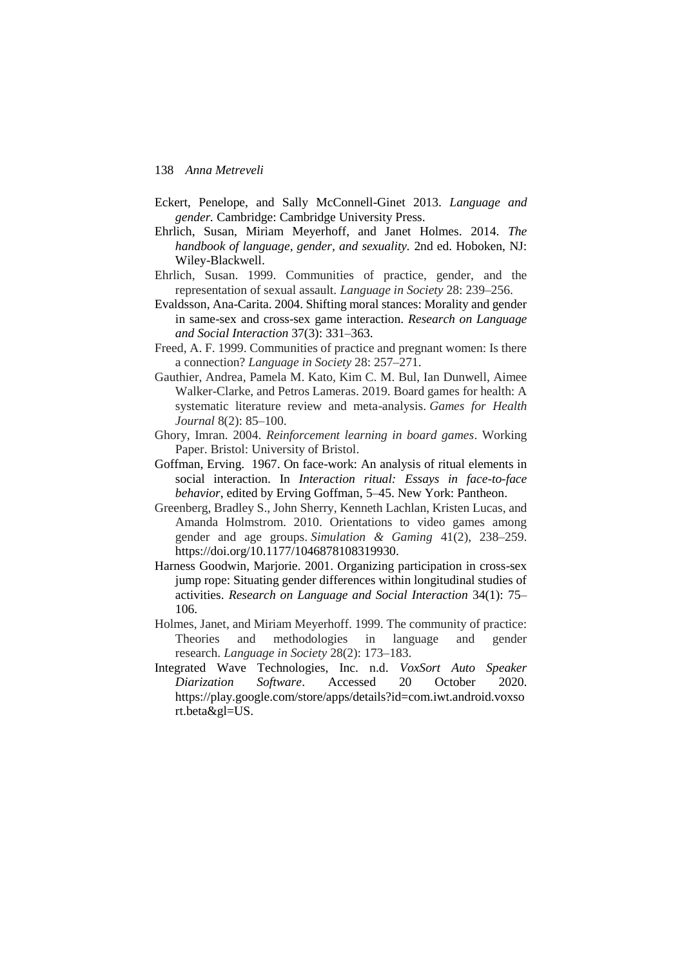- Eckert, Penelope, and Sally McConnell-Ginet 2013. *Language and gender.* Cambridge: Cambridge University Press.
- Ehrlich, Susan, Miriam Meyerhoff, and Janet Holmes. 2014. *The handbook of language, gender, and sexuality.* 2nd ed. Hoboken, NJ: Wiley-Blackwell.
- Ehrlich, Susan. 1999. Communities of practice, gender, and the representation of sexual assault. *Language in Society* 28: 239–256.
- Evaldsson, Ana-Carita. 2004. Shifting moral stances: Morality and gender in same-sex and cross-sex game interaction. *Research on Language and Social Interaction* 37(3): 331–363.
- Freed, A. F. 1999. Communities of practice and pregnant women: Is there a connection? *Language in Society* 28: 257–271.
- Gauthier, Andrea, Pamela M. Kato, Kim C. M. Bul, Ian Dunwell, Aimee Walker-Clarke, and Petros Lameras. 2019. Board games for health: A systematic literature review and meta-analysis. *Games for Health Journal* 8(2): 85–100.
- Ghory, Imran. 2004. *Reinforcement learning in board games*. Working Paper. Bristol: University of Bristol.
- Goffman, Erving. 1967. On face-work: An analysis of ritual elements in social interaction. In *Interaction ritual: Essays in face-to-face behavior*, edited by Erving Goffman, 5–45. New York: Pantheon.
- Greenberg, Bradley S., John Sherry, Kenneth Lachlan, Kristen Lucas, and Amanda Holmstrom. 2010. Orientations to video games among gender and age groups. *Simulation & Gaming* 41(2), 238–259. https://doi.org/10.1177/1046878108319930.
- Harness Goodwin, Marjorie. 2001. Organizing participation in cross-sex jump rope: Situating gender differences within longitudinal studies of activities. *Research on Language and Social Interaction* 34(1): 75– 106.
- Holmes, Janet, and Miriam Meyerhoff. 1999. The community of practice: Theories and methodologies in language and gender research. *Language in Society* 28(2): 173–183.
- Integrated Wave Technologies, Inc. n.d. *VoxSort Auto Speaker Diarization Software*. Accessed 20 October 2020. https://play.google.com/store/apps/details?id=com.iwt.android.voxso rt.beta&gl=US.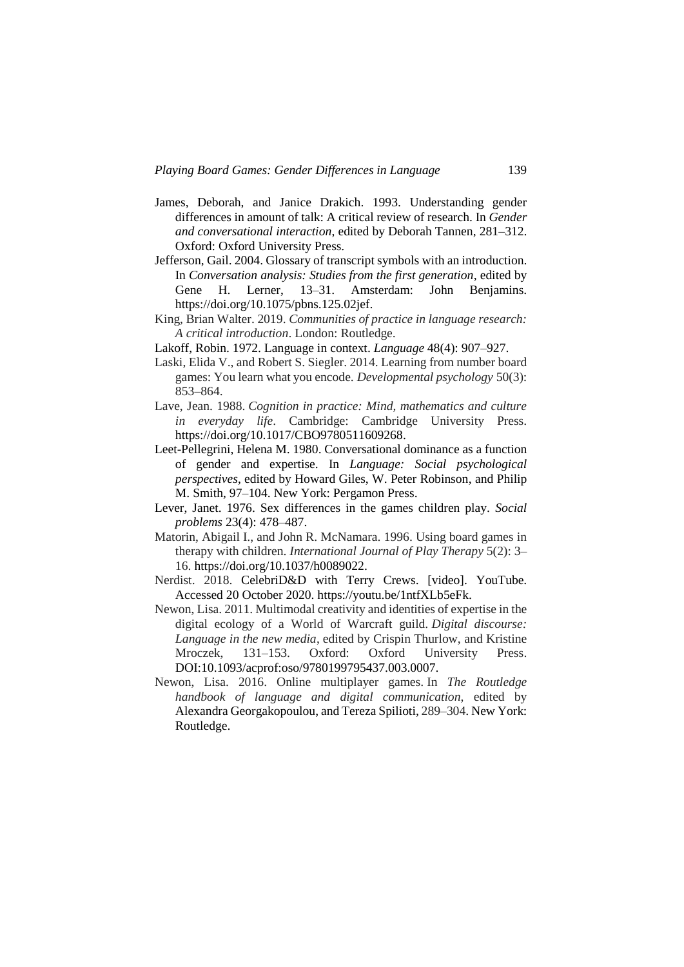- James, Deborah, and Janice Drakich. 1993. Understanding gender differences in amount of talk: A critical review of research. In *Gender and conversational interaction*, edited by Deborah Tannen, 281–312. Oxford: Oxford University Press.
- Jefferson, Gail. 2004. Glossary of transcript symbols with an introduction. In *Conversation analysis: Studies from the first generation*, edited by Gene H. Lerner, 13–31. Amsterdam: John Benjamins. https://doi.org/10.1075/pbns.125.02jef.
- King, Brian Walter. 2019. *Communities of practice in language research: A critical introduction*. London: Routledge.
- Lakoff, Robin. 1972. Language in context. *Language* 48(4): 907–927.
- Laski, Elida V., and Robert S. Siegler. 2014. Learning from number board games: You learn what you encode. *Developmental psychology* 50(3): 853–864.
- Lave, Jean. 1988. *Cognition in practice: Mind, mathematics and culture in everyday life*. Cambridge: Cambridge University Press. https://doi.org/10.1017/CBO9780511609268.
- Leet-Pellegrini, Helena M. 1980. Conversational dominance as a function of gender and expertise. In *Language: Social psychological perspectives*, edited by Howard Giles, W. Peter Robinson, and Philip M. Smith, 97–104. New York: Pergamon Press.
- Lever, Janet. 1976. Sex differences in the games children play. *Social problems* 23(4): 478–487.
- Matorin, Abigail I., and John R. McNamara. 1996. Using board games in therapy with children. *International Journal of Play Therapy* 5(2): 3– 16. https://doi.org/10.1037/h0089022.
- Nerdist. 2018. CelebriD&D with Terry Crews. [video]. YouTube. Accessed 20 October 2020. https://youtu.be/1ntfXLb5eFk.
- Newon, Lisa. 2011. Multimodal creativity and identities of expertise in the digital ecology of a World of Warcraft guild. *Digital discourse: Language in the new media*, edited by Crispin Thurlow, and Kristine Mroczek, 131–153. Oxford: Oxford University Press. DOI:10.1093/acprof:oso/9780199795437.003.0007.
- Newon, Lisa. 2016. Online multiplayer games. In *The Routledge handbook of language and digital communication*, edited by Alexandra Georgakopoulou, and Tereza Spilioti, 289–304. New York: Routledge.